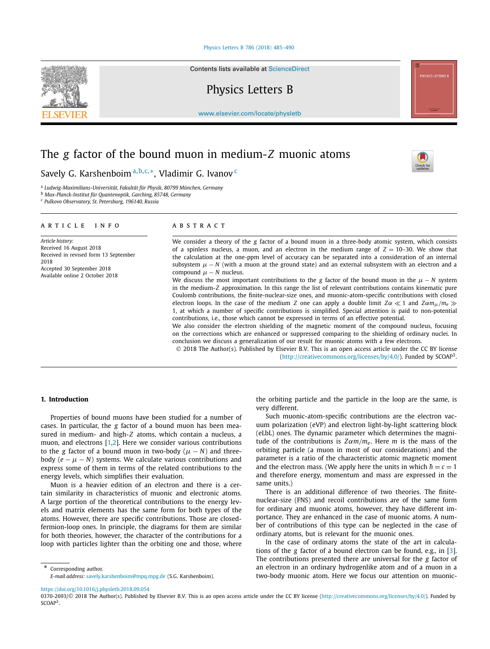#### [Physics Letters B 786 \(2018\) 485–490](https://doi.org/10.1016/j.physletb.2018.09.054)

Contents lists available at [ScienceDirect](http://www.ScienceDirect.com/)

Physics Letters B

[www.elsevier.com/locate/physletb](http://www.elsevier.com/locate/physletb)

# The *g* factor of the bound muon in medium-*Z* muonic atoms

Savely G. Karshenboim <sup>a</sup>*,*b*,*c*,*∗, Vladimir G. Ivanov <sup>c</sup>

<sup>a</sup> *Ludwig-Maximilians-Universität, Fakultät für Physik, 80799 München, Germany*

<sup>b</sup> *Max-Planck-Institut für Quantenoptik, Garching, 85748, Germany*

<sup>c</sup> *Pulkovo Observatory, St. Petersburg, 196140, Russia*

#### A R T I C L E I N F O A B S T R A C T

*Article history:* Received 16 August 2018 Received in revised form 13 September 2018 Accepted 30 September 2018 Available online 2 October 2018

We consider a theory of the *g* factor of a bound muon in a three-body atomic system, which consists of a spinless nucleus, a muon, and an electron in the medium range of  $Z = 10-30$ . We show that the calculation at the one-ppm level of accuracy can be separated into a consideration of an internal subsystem  $\mu - N$  (with a muon at the ground state) and an external subsystem with an electron and a compound  $\mu$  – *N* nucleus.

We discuss the most important contributions to the *g* factor of the bound muon in the  $\mu - N$  system in the medium-*Z* approximation. In this range the list of relevant contributions contains kinematic pure Coulomb contributions, the finite-nuclear-size ones, and muonic-atom-specific contributions with closed electron loops. In the case of the medium *Z* one can apply a double limit  $Z\alpha \ll 1$  and  $Z\alpha m_{\mu}/m_e \gg$ 1, at which a number of specific contributions is simplified. Special attention is paid to non-potential contributions, i.e., those which cannot be expressed in terms of an effective potential.

We also consider the electron shielding of the magnetic moment of the compound nucleus, focusing on the corrections which are enhanced or suppressed comparing to the shielding of ordinary nuclei. In conclusion we discuss a generalization of our result for muonic atoms with a few electrons.

© 2018 The Author(s). Published by Elsevier B.V. This is an open access article under the CC BY license [\(http://creativecommons.org/licenses/by/4.0/\)](http://creativecommons.org/licenses/by/4.0/). Funded by SCOAP3.

#### **1. Introduction**

Properties of bound muons have been studied for a number of cases. In particular, the *g* factor of a bound muon has been measured in medium- and high-*Z* atoms, which contain a nucleus, a muon, and electrons [\[1,2\]](#page-5-0). Here we consider various contributions to the *g* factor of a bound muon in two-body ( $\mu$  – *N*) and threebody  $(e - \mu - N)$  systems. We calculate various contributions and express some of them in terms of the related contributions to the energy levels, which simplifies their evaluation.

Muon is a heavier edition of an electron and there is a certain similarity in characteristics of muonic and electronic atoms. A large portion of the theoretical contributions to the energy levels and matrix elements has the same form for both types of the atoms. However, there are specific contributions. Those are closedfermion-loop ones. In principle, the diagrams for them are similar for both theories, however, the character of the contributions for a loop with particles lighter than the orbiting one and those, where

Corresponding author. *E-mail address:* [savely.karshenboim@mpq.mpg.de](mailto:savely.karshenboim@mpq.mpg.de) (S.G. Karshenboim). the orbiting particle and the particle in the loop are the same, is very different.

Such muonic-atom-specific contributions are the electron vacuum polarization (eVP) and electron light-by-light scattering block (eLbL) ones. The dynamic parameter which determines the magnitude of the contributions is  $Z\alpha m/m_e$ . Here *m* is the mass of the orbiting particle (a muon in most of our considerations) and the parameter is a ratio of the characteristic atomic magnetic moment and the electron mass. (We apply here the units in which  $\hbar = c = 1$ and therefore energy, momentum and mass are expressed in the same units.)

There is an additional difference of two theories. The finitenuclear-size (FNS) and recoil contributions are of the same form for ordinary and muonic atoms, however, they have different importance. They are enhanced in the case of muonic atoms. A number of contributions of this type can be neglected in the case of ordinary atoms, but is relevant for the muonic ones.

In the case of ordinary atoms the state of the art in calculations of the *g* factor of a bound electron can be found, e.g., in [\[3\]](#page-5-0). The contributions presented there are universal for the *g* factor of an electron in an ordinary hydrogenlike atom and of a muon in a two-body muonic atom. Here we focus our attention on muonic-

<https://doi.org/10.1016/j.physletb.2018.09.054>





<sup>0370-2693/© 2018</sup> The Author(s). Published by Elsevier B.V. This is an open access article under the CC BY license [\(http://creativecommons.org/licenses/by/4.0/](http://creativecommons.org/licenses/by/4.0/)). Funded by SCOAP<sup>3</sup>.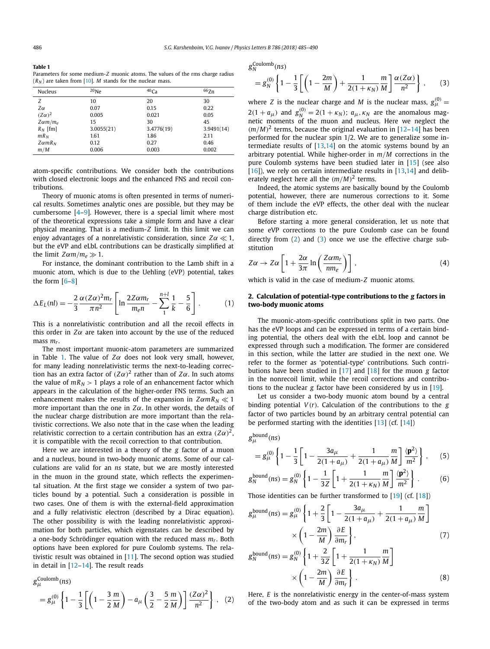<span id="page-1-0"></span>

| Table 1                                                                        |
|--------------------------------------------------------------------------------|
| Parameters for some medium-Z muonic atoms. The values of the rms charge radius |
| $(R_N)$ are taken from [10]. <i>M</i> stands for the nuclear mass.             |

| Nucleus          | $^{20}$ Ne | 40 <sub>Ca</sub> | 66Zn       |
|------------------|------------|------------------|------------|
| Z                | 10         | 20               | 30         |
| Zα               | 0.07       | 0.15             | 0.22       |
| $(Z\alpha)^2$    | 0.005      | 0.021            | 0.05       |
| $Z \alpha m/m_e$ | 15         | 30               | 45         |
| $R_N$ [fm]       | 3.0055(21) | 3.4776(19)       | 3.9491(14) |
| $mR_N$           | 1.61       | 1.86             | 2.11       |
| $Z\alpha mR_N$   | 0.12       | 0.27             | 0.46       |
| m/M              | 0.006      | 0.003            | 0.002      |

atom-specific contributions. We consider both the contributions with closed electronic loops and the enhanced FNS and recoil contributions.

Theory of muonic atoms is often presented in terms of numerical results. Sometimes analytic ones are possible, but they may be cumbersome [\[4–9\]](#page-5-0). However, there is a special limit where most of the theoretical expressions take a simple form and have a clear physical meaning. That is a medium-*Z* limit. In this limit we can enjoy advantages of a nonrelativistic consideration, since  $Z\alpha \ll 1$ , but the eVP and eLbL contributions can be drastically simplified at the limit  $Z\alpha m/m_e \gg 1$ .

For instance, the dominant contribution to the Lamb shift in a muonic atom, which is due to the Uehling (eVP) potential, takes the form [\[6–8\]](#page-5-0)

$$
\Delta E_L(nl) = -\frac{2}{3} \frac{\alpha (Z\alpha)^2 m_r}{\pi n^2} \left[ \ln \frac{2Z\alpha m_r}{m_e n} - \sum_{1}^{n+l} \frac{1}{k} - \frac{5}{6} \right].
$$
 (1)

This is a nonrelativistic contribution and all the recoil effects in this order in  $Z\alpha$  are taken into account by the use of the reduced mass *mr*.

The most important muonic-atom parameters are summarized in Table 1. The value of *Zα* does not look very small, however, for many leading nonrelativistic terms the next-to-leading correction has an extra factor of  $(Z\alpha)^2$  rather than of  $Z\alpha$ . In such atoms the value of  $mR_N > 1$  plays a role of an enhancement factor which appears in the calculation of the higher-order FNS terms. Such an enhancement makes the results of the expansion in  $Z\alpha mR_N \ll 1$ more important than the one in *Zα*. In other words, the details of the nuclear charge distribution are more important than the relativistic corrections. We also note that in the case when the leading relativistic correction to a certain contribution has an extra  $(Z\alpha)^2$ , it is compatible with the recoil correction to that contribution.

Here we are interested in a theory of the *g* factor of a muon and a nucleus, bound in two-body muonic atoms. Some of our calculations are valid for an *ns* state, but we are mostly interested in the muon in the ground state, which reflects the experimental situation. At the first stage we consider a system of two particles bound by a potential. Such a consideration is possible in two cases. One of them is with the external-field approximation and a fully relativistic electron (described by a Dirac equation). The other possibility is with the leading nonrelativistic approximation for both particles, which eigenstates can be described by a one-body Schrödinger equation with the reduced mass *mr*. Both options have been explored for pure Coulomb systems. The relativistic result was obtained in [\[11\]](#page-5-0). The second option was studied in detail in [\[12–14\]](#page-5-0). The result reads

$$
g_{\mu}^{\text{Coulomb}}(ns)
$$
  
=  $g_{\mu}^{(0)} \left\{ 1 - \frac{1}{3} \left[ \left( 1 - \frac{3}{2} \frac{m}{M} \right) - a_{\mu} \left( \frac{3}{2} - \frac{5}{2} \frac{m}{M} \right) \right] \frac{(Z\alpha)^2}{n^2} \right\}, (2)$ 

*g*Coulomb *<sup>N</sup> (ns)*

$$
= g_N^{(0)} \left\{ 1 - \frac{1}{3} \left[ \left( 1 - \frac{2m}{M} \right) + \frac{1}{2(1 + \kappa_N)} \frac{m}{M} \right] \frac{\alpha (Z\alpha)}{n^2} \right\},
$$
 (3)

where *Z* is the nuclear charge and *M* is the nuclear mass,  $g_{\mu}^{(0)} =$  $2(1 + a_{\mu})$  and  $g_N^{(0)} = 2(1 + \kappa_N)$ ;  $a_{\mu}, \kappa_N$  are the anomalous magnetic moments of the muon and nucleus. Here we neglect the  $(m/M)^2$  terms, because the original evaluation in [\[12–14\]](#page-5-0) has been performed for the nuclear spin 1/2. We are to generalize some intermediate results of  $[13,14]$  on the atomic systems bound by an arbitrary potential. While higher-order in *m/M* corrections in the pure Coulomb systems have been studied later in [\[15\]](#page-5-0) (see also  $[16]$ , we rely on certain intermediate results in  $[13,14]$  and deliberately neglect here all the *(m/M)*<sup>2</sup> terms.

Indeed, the atomic systems are basically bound by the Coulomb potential, however, there are numerous corrections to it. Some of them include the eVP effects, the other deal with the nuclear charge distribution etc.

Before starting a more general consideration, let us note that some eVP corrections to the pure Coulomb case can be found directly from  $(2)$  and  $(3)$  once we use the effective charge substitution

$$
Z\alpha \to Z\alpha \left[1 + \frac{2\alpha}{3\pi} \ln\left(\frac{Z\alpha m_r}{n m_e}\right)\right],
$$
 (4)

which is valid in the case of medium-*Z* muonic atoms.

### **2. Calculation of potential-type contributions to the** *g* **factors in two-body muonic atoms**

The muonic-atom-specific contributions split in two parts. One has the eVP loops and can be expressed in terms of a certain binding potential, the others deal with the eLbL loop and cannot be expressed through such a modification. The former are considered in this section, while the latter are studied in the next one. We refer to the former as 'potential-type' contributions. Such contributions have been studied in [\[17\]](#page-5-0) and [\[18\]](#page-5-0) for the muon *g* factor in the nonrecoil limit, while the recoil corrections and contributions to the nuclear *g* factor have been considered by us in [\[19\]](#page-5-0).

Let us consider a two-body muonic atom bound by a central binding potential  $V(r)$ . Calculation of the contributions to the  $g$ factor of two particles bound by an arbitrary central potential can be performed starting with the identities [\[13\]](#page-5-0) (cf. [\[14\]](#page-5-0))

$$
g_{\mu}^{\text{bound}}(ns)
$$

$$
= g_{\mu}^{(0)} \left\{ 1 - \frac{1}{3} \left[ 1 - \frac{3a_{\mu}}{2(1 + a_{\mu})} + \frac{1}{2(1 + a_{\mu})} \frac{m}{M} \right] \frac{\langle \mathbf{p}^2 \rangle}{m^2} \right\},
$$
 (5)

$$
g_N^{\text{bound}}(ns) = g_N^{(0)} \left\{ 1 - \frac{1}{3Z} \left[ 1 + \frac{1}{2(1 + \kappa_N)} \frac{m}{M} \right] \frac{\langle \mathbf{p}^2 \rangle}{m^2} \right\} \,. \tag{6}
$$

Those identities can be further transformed to [\[19\]](#page-5-0) (cf. [\[18\]](#page-5-0))

$$
g_{\mu}^{\text{bound}}(ns) = g_{\mu}^{(0)} \left\{ 1 + \frac{2}{3} \left[ 1 - \frac{3a_{\mu}}{2(1 + a_{\mu})} + \frac{1}{2(1 + a_{\mu})} \frac{m}{M} \right] \right\}
$$

$$
\times \left( 1 - \frac{2m}{M} \right) \frac{\partial E}{\partial m_r}, \qquad (7)
$$

$$
g_N^{\text{bound}}(ns) = g_N^{(0)} \left\{ 1 + \frac{2}{3Z} \left[ 1 + \frac{1}{2(1 + \kappa_N)} \frac{m}{M} \right] \times \left( 1 - \frac{2m}{M} \right) \frac{\partial E}{\partial m_r} \right\}.
$$
 (8)

Here, *E* is the nonrelativistic energy in the center-of-mass system of the two-body atom and as such it can be expressed in terms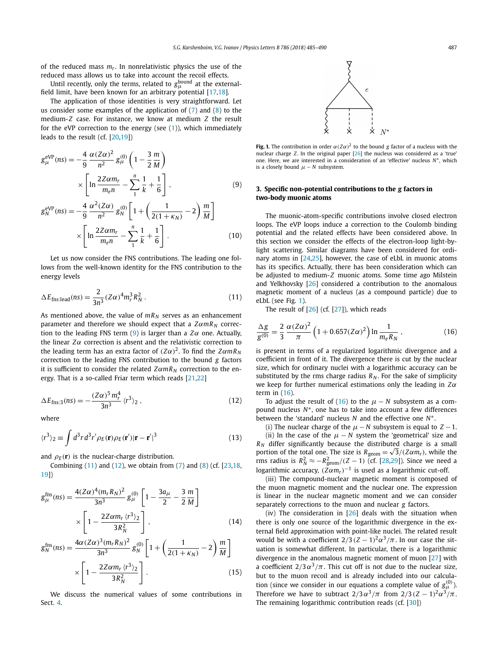<span id="page-2-0"></span>of the reduced mass  $m_r$ . In nonrelativistic physics the use of the reduced mass allows us to take into account the recoil effects.

Until recently, only the terms, related to  $g_\mu^{\rm bound}$  at the externalfield limit, have been known for an arbitrary potential  $[17,18]$ .

The application of those identities is very straightforward. Let us consider some examples of the application of  $(7)$  and  $(8)$  to the medium-*Z* case. For instance, we know at medium *Z* the result for the eVP correction to the energy (see [\(1\)](#page-1-0)), which immediately leads to the result (cf. [\[20,19\]](#page-5-0))

$$
g_{\mu}^{\text{eVP}}(ns) = -\frac{4}{9} \frac{\alpha (Z\alpha)^2}{n^2} g_{\mu}^{(0)} \left( 1 - \frac{3}{2} \frac{m}{M} \right) \times \left[ \ln \frac{2Z\alpha m_r}{m_e n} - \sum_{1}^{n} \frac{1}{k} + \frac{1}{6} \right],
$$
 (9)

$$
g_N^{eVP}(ns) = -\frac{4}{9} \frac{\alpha^2 (Z\alpha)}{n^2} g_N^{(0)} \left[ 1 + \left( \frac{1}{2(1 + \kappa_N)} - 2 \right) \frac{m}{M} \right]
$$

$$
\times \left[ \ln \frac{2Z\alpha m_r}{m_e n} - \sum_{1}^{n} \frac{1}{k} + \frac{1}{6} \right].
$$
 (10)

Let us now consider the FNS contributions. The leading one follows from the well-known identity for the FNS contribution to the energy levels

$$
\Delta E_{\text{fns:lead}}(ns) = \frac{2}{3n^3} (Z\alpha)^4 m_r^3 R_N^2 \,. \tag{11}
$$

As mentioned above, the value of  $mR_N$  serves as an enhancement parameter and therefore we should expect that a *ZαmR <sup>N</sup>* correction to the leading FNS term (9) is larger than a  $Z\alpha$  one. Actually, the linear  $Z\alpha$  correction is absent and the relativistic correction to the leading term has an extra factor of  $(Z\alpha)^2$ . To find the  $Z\alpha mR_N$ correction to the leading FNS contribution to the bound *g* factors it is sufficient to consider the related  $Z\alpha mR_N$  correction to the energy. That is a so-called Friar term which reads [\[21,22\]](#page-5-0)

$$
\Delta E_{\text{fns}:3}(ns) = -\frac{(Z\alpha)^5 m_r^4}{3n^3} \langle r^3 \rangle_2 , \qquad (12)
$$

where

$$
\langle r^3 \rangle_2 \equiv \int d^3r \, d^3r' \rho_E(\mathbf{r}) \rho_E(\mathbf{r}') |\mathbf{r} - \mathbf{r}'|^3 \tag{13}
$$

and  $\rho_E(\mathbf{r})$  is the nuclear-charge distribution.

Combining  $(11)$  and  $(12)$ , we obtain from  $(7)$  and  $(8)$  (cf.  $[23,18,$ [19\]](#page-5-0))

$$
g_{\mu}^{\text{fns}}(ns) = \frac{4(Z\alpha)^4 (m_r R_N)^2}{3n^3} g_{\mu}^{(0)} \left[ 1 - \frac{3a_{\mu}}{2} - \frac{3}{2} \frac{m}{M} \right] \times \left[ 1 - \frac{2Z\alpha m_r (r^3)_2}{3R_N^2} \right],
$$
(14)

$$
g_N^{\text{fns}}(ns) = \frac{4\alpha (Z\alpha)^3 (m_r R_N)^2}{3n^3} g_N^{(0)} \left[ 1 + \left( \frac{1}{2(1 + \kappa_N)} - 2 \right) \frac{m}{M} \right] \times \left[ 1 - \frac{2Z\alpha m_r \langle r^3 \rangle_2}{3R_N^2} \right].
$$
 (15)

We discuss the numerical values of some contributions in Sect. [4.](#page-3-0)



**Fig. 1.** The contribution in order  $\alpha(Z\alpha)^2$  to the bound *g* factor of a nucleus with the nuclear charge *Z*. In the original paper [\[26\]](#page-5-0) the nucleus was considered as a 'true' one. Here, we are interested in a consideration of an 'effective' nucleus *N*∗, which is a closely bound  $\mu$  – *N* subsystem.

## **3. Specific non-potential contributions to the** *g* **factors in two-body muonic atoms**

The muonic-atom-specific contributions involve closed electron loops. The eVP loops induce a correction to the Coulomb binding potential and the related effects have been considered above. In this section we consider the effects of the electron-loop light-bylight scattering. Similar diagrams have been considered for ordinary atoms in [\[24,25\]](#page-5-0), however, the case of eLbL in muonic atoms has its specifics. Actually, there has been consideration which can be adjusted to medium-*Z* muonic atoms. Some time ago Milstein and Yelkhovsky [\[26\]](#page-5-0) considered a contribution to the anomalous magnetic moment of a nucleus (as a compound particle) due to eLbL (see Fig. 1).

The result of  $[26]$  (cf.  $[27]$ ), which reads

$$
\frac{\Delta g}{g^{(0)}} = \frac{2}{3} \frac{\alpha (Z\alpha)^2}{\pi} \left( 1 + 0.657 (Z\alpha)^2 \right) \ln \frac{1}{m_e R_N},
$$
\n(16)

is present in terms of a regularized logarithmic divergence and a coefficient in front of it. The divergence there is cut by the nuclear size, which for ordinary nuclei with a logarithmic accuracy can be substituted by the rms charge radius  $R_N$ . For the sake of simplicity we keep for further numerical estimations only the leading in *Zα* term in (16).

To adjust the result of (16) to the  $\mu$  – *N* subsystem as a compound nucleus *N*∗, one has to take into account a few differences between the 'standard' nucleus *N* and the effective one *N*∗.

(i) The nuclear charge of the  $\mu$  − *N* subsystem is equal to  $Z$  − 1. (ii) In the case of the  $\mu$  − *N* system the 'geometrical' size and *R <sup>N</sup>* differ significantly because the distributed charge is a small portion of the total one. The size is  $R_{\text{geom}} = \sqrt{3}/(Z\alpha m_r)$ , while the rms radius is  $R_N^2 \approx -R_{\text{geom}}^2/(Z-1)$  (cf. [\[28,29\]](#page-5-0)). Since we need a logarithmic accuracy,  $(Z\alpha m_r)^{-1}$  is used as a logarithmic cut-off.

(iii) The compound-nuclear magnetic moment is composed of the muon magnetic moment and the nuclear one. The expression is linear in the nuclear magnetic moment and we can consider separately corrections to the muon and nuclear *g* factors.

(iv) The consideration in  $[26]$  deals with the situation when there is only one source of the logarithmic divergence in the external field approximation with point-like nuclei. The related result would be with a coefficient  $2/3$   $(Z-1)^2\alpha^3/\pi$ . In our case the situation is somewhat different. In particular, there is a logarithmic divergence in the anomalous magnetic moment of muon [\[27\]](#page-5-0) with a coefficient  $2/3 \alpha^3/\pi$ . This cut off is not due to the nuclear size, but to the muon recoil and is already included into our calculation (since we consider in our equations a complete value of  $g^{(0)}_{\mu}$ ). Therefore we have to subtract  $2/3 \alpha^3 / \pi$  from  $2/3 (Z-1)^2 \alpha^3 / \pi$ . The remaining logarithmic contribution reads (cf. [\[30\]](#page-5-0))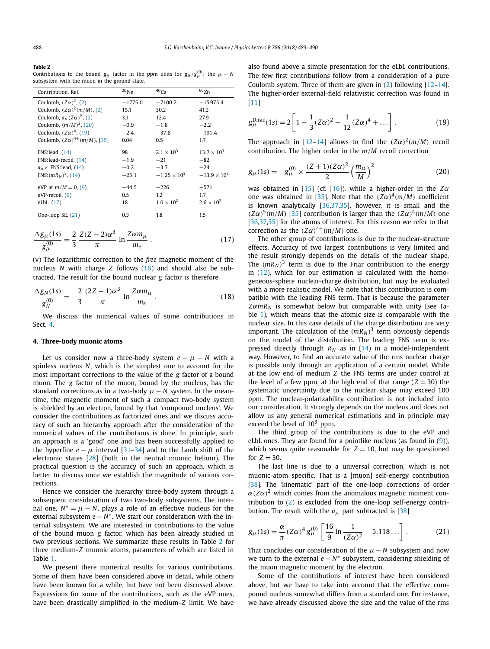#### <span id="page-3-0"></span>**Table 2**

Contributions to the bound  $g_\mu$  factor in the ppm units for  $g_\mu/g_\mu^{(0)}$ ; the  $\mu - N$ subsystem with the muon in the ground state.

| Contribution, Ref.                                                                                     | $^{20}$ Ne                        | $40$ Ca                                                         | $^{66}$ Zn                                                      |
|--------------------------------------------------------------------------------------------------------|-----------------------------------|-----------------------------------------------------------------|-----------------------------------------------------------------|
| Coulomb, $(Z\alpha)^2$ , (2)                                                                           | $-1775.0$                         | $-7100.2$                                                       | $-15975.4$                                                      |
| Coulomb, $(Z\alpha)^2(m/M)$ , (2)                                                                      | 15.1                              | 30.2                                                            | 41.2                                                            |
| Coulomb, $a_{\mu}(Z\alpha)^2$ , (2)                                                                    | 3.1                               | 12.4                                                            | 27.9                                                            |
| Coulomb, $(m/M)^2$ , (20)                                                                              | $-0.9$                            | $-1.8$                                                          | $-2.2$                                                          |
| Coulomb, $(Z\alpha)^4$ , (19)                                                                          | $-2.4$                            | $-37.8$                                                         | $-191.4$                                                        |
| Coulomb, $(Z\alpha)^{4+}$ (m/M), [35]                                                                  | 0.04                              | 0.5                                                             | 1.7                                                             |
| FNS: lead, (14)<br>FNS:lead-recoil, (14)<br>$a_{\mu} \times$ FNS: lead, (14)<br>FNS: $(mR_N)^3$ , (14) | 98<br>$-1.9$<br>$-0.2$<br>$-25.1$ | $2.1 \times 10^{3}$<br>$-21$<br>$-3.7$<br>$-1.25 \times 10^{3}$ | $13.7 \times 10^{3}$<br>$-82$<br>$-24$<br>$-13.9 \times 10^{3}$ |
| eVP at $m/M = 0$ , (9)<br>eVP-recoil, (9)<br>eLbL, (17)                                                | $-44.5$<br>0.5<br>18              | $-226$<br>1.2<br>$1.0 \times 10^{2}$                            | $-571$<br>1.7<br>$2.6 \times 10^{2}$                            |
| One-loop SE, $(21)$                                                                                    | 0.3                               | 1.8                                                             | $1.5\,$                                                         |

$$
\frac{\Delta g_{\mu}(1s)}{g_{\mu}^{(0)}} = \frac{2}{3} \frac{Z(Z-2)\alpha^3}{\pi} \ln \frac{Z\alpha m_{\mu}}{m_e} \,. \tag{17}
$$

(v) The logarithmic correction to the *free* magnetic moment of the nucleus *N* with charge *Z* follows [\(16\)](#page-2-0) and should also be subtracted. The result for the bound nuclear *g* factor is therefore

$$
\frac{\Delta g_N(1s)}{g_N^{(0)}} = -\frac{2}{3} \frac{(2Z - 1)\alpha^3}{\pi} \ln \frac{Z \alpha m_\mu}{m_e} \,. \tag{18}
$$

We discuss the numerical values of some contributions in Sect. 4.

#### **4. Three-body muonic atoms**

Let us consider now a three-body system  $e - \mu - N$  with a spinless nucleus *N*, which is the simplest one to account for the most important corrections to the value of the *g* factor of a bound muon. The *g* factor of the muon, bound by the nucleus, has the standard corrections as in a two-body  $\mu$  – *N* system. In the meantime, the magnetic moment of such a compact two-body system is shielded by an electron, bound by that 'compound nucleus'. We consider the contributions as factorized ones and we discuss accuracy of such an hierarchy approach after the consideration of the numerical values of the contributions is done. In principle, such an approach is a 'good' one and has been successfully applied to the hyperfine  $e - \mu$  interval [\[31–34\]](#page-5-0) and to the Lamb shift of the electronic states [\[28\]](#page-5-0) (both in the neutral muonic helium). The practical question is the accuracy of such an approach, which is better to discuss once we establish the magnitude of various corrections.

Hence we consider the hierarchy three-body system through a subsequent consideration of two two-body subsystems. The internal one,  $N^* = \mu - N$ , plays a role of an effective nucleus for the external subsystem *e* − *N*<sup>∗</sup>. We start our consideration with the internal subsystem. We are interested in contributions to the value of the bound muon *g* factor, which has been already studied in two previous sections. We summarize these results in Table 2 for three medium-*Z* muonic atoms, parameters of which are listed in Table [1.](#page-1-0)

We present there numerical results for various contributions. Some of them have been considered above in detail, while others have been known for a while, but have not been discussed above. Expressions for some of the contributions, such as the eVP ones, have been drastically simplified in the medium-*Z* limit. We have

also found above a simple presentation for the eLbL contributions. The few first contributions follow from a consideration of a pure Coulomb system. Three of them are given in  $(2)$  following  $[12-14]$ . The higher-order external-field relativistic correction was found in [\[11\]](#page-5-0)

$$
g_{\mu}^{\text{Dirac}}(1s) = 2\left[1 - \frac{1}{3}(Z\alpha)^2 - \frac{1}{12}(Z\alpha)^4 + \dots\right].
$$
 (19)

The approach in [\[12–14\]](#page-5-0) allows to find the  $(Z\alpha)^2(m/M)$  recoil contribution. The higher order in the *m/M* recoil correction

$$
g_{\mu}(1s) = -g_{\mu}^{(0)} \times \frac{(Z+1)(Z\alpha)^{2}}{2} \left(\frac{m_{\mu}}{M}\right)^{2}
$$
 (20)

was obtained in [\[15\]](#page-5-0) (cf. [\[16\]](#page-5-0)), while a higher-order in the *Zα* one was obtained in [\[35\]](#page-5-0). Note that the  $(Z\alpha)^4(m/M)$  coefficient is known analytically [\[36,37,35\]](#page-5-0), however, it is small and the  $(Z\alpha)^5(m/M)$  [\[35\]](#page-5-0) contribution is larger than the  $(Z\alpha)^4(m/M)$  one [\[36,37,35\]](#page-5-0) for the atoms of interest. For this reason we refer to that correction as the  $(Z\alpha)^{4+}(m/M)$  one.

The other group of contributions is due to the nuclear-structure effects. Accuracy of two largest contributions is very limited and the result strongly depends on the details of the nuclear shape. The  $(mR_N)^3$  term is due to the Friar contribution to the energy in [\(12\)](#page-2-0), which for our estimation is calculated with the homogeneous-sphere nuclear-charge distribution, but may be evaluated with a more realistic model. We note that this contribution is compatible with the leading FNS term. That is because the parameter  $Z\alpha mR_N$  is somewhat below but comparable with unity (see Table [1\)](#page-1-0), which means that the atomic size is comparable with the nuclear size. In this case details of the charge distribution are very important. The calculation of the  $(mR_N)^3$  term obviously depends on the model of the distribution. The leading FNS term is expressed directly through  $R_N$  as in  $(14)$  in a model-independent way. However, to find an accurate value of the rms nuclear charge is possible only through an application of a certain model. While at the low end of medium *Z* the FNS terms are under control at the level of a few ppm, at the high end of that range  $(Z = 30)$  the systematic uncertainty due to the nuclear shape may exceed 100 ppm. The nuclear-polarizability contribution is not included into our consideration. It strongly depends on the nucleus and does not allow us any general numerical estimations and in principle may exceed the level of  $10^3$  ppm.

The third group of the contributions is due to the eVP and eLbL ones. They are found for a pointlike nucleus (as found in  $(9)$ ), which seems quite reasonable for  $Z = 10$ , but may be questioned for  $Z = 30$ .

The last line is due to a universal correction, which is not muonic-atom specific. That is a [muon] self-energy contribution [\[38\]](#page-5-0). The 'kinematic' part of the one-loop corrections of order  $\alpha(Z\alpha)^2$  which comes from the anomalous magnetic moment contribution to [\(2\)](#page-1-0) is excluded from the one-loop self-energy contribution. The result with the  $a_{\mu}$  part subtracted is [\[38\]](#page-5-0)

$$
g_{\mu}(1s) = \frac{\alpha}{\pi} (Z\alpha)^{4} g_{\mu}^{(0)} \left[ \frac{16}{9} \ln \frac{1}{(Z\alpha)^{2}} - 5.118 \dots \right].
$$
 (21)

That concludes our consideration of the  $\mu$  – *N* subsystem and now we turn to the external *e* − *N*<sup>∗</sup> subsystem, considering shielding of the muon magnetic moment by the electron.

Some of the contributions of interest have been considered above, but we have to take into account that the effective compound nucleus somewhat differs from a standard one. For instance, we have already discussed above the size and the value of the rms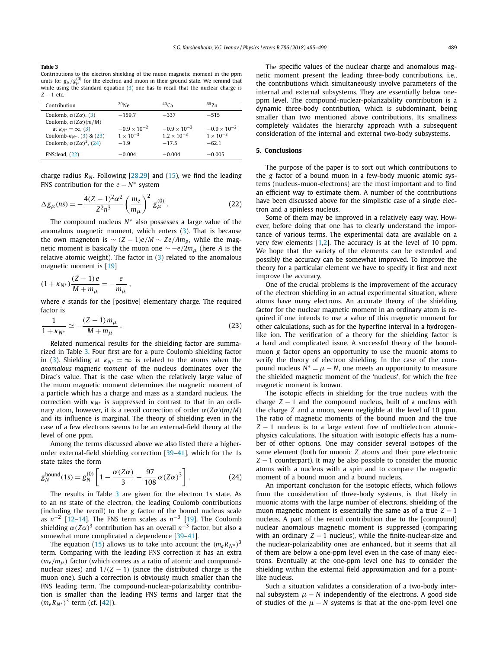#### **Table 3**

Contributions to the electron shielding of the muon magnetic moment in the ppm units for  $g_{\mu}/g_{\mu}^{(0)}$  for the electron and muon in their ground state. We remind that while using the standard equation  $(3)$  one has to recall that the nuclear charge is *Z* − 1 etc.

| Contribution                             | $^{20}$ Ne            | $40C_A$               | $66$ $Zn$             |
|------------------------------------------|-----------------------|-----------------------|-----------------------|
| Coulomb, $\alpha(Z\alpha)$ , (3)         | $-159.7$              | $-337$                | $-515$                |
| Coulomb, $\alpha$ ( $Z\alpha$ )( $m/M$ ) |                       |                       |                       |
| at $\kappa_{N^*} = \infty$ , (3)         | $-0.9 \times 10^{-2}$ | $-0.9 \times 10^{-2}$ | $-0.9 \times 10^{-2}$ |
| Coulomb- $K_{N^*}$ , (3) & (23)          | $1 \times 10^{-3}$    | $1.2 \times 10^{-3}$  | $1 \times 10^{-3}$    |
| Coulomb, $\alpha(Z\alpha)^3$ , (24)      | $-19$                 | $-17.5$               | $-62.1$               |
| FNS: lead, (22)                          | $-0.004$              | $-0.004$              | $-0.005$              |
|                                          |                       |                       |                       |

charge radius  $R_N$ . Following  $[28,29]$  and  $(15)$ , we find the leading FNS contribution for the *e* − *N*<sup>∗</sup> system

$$
\Delta g_{\mu}(n s) = -\frac{4(Z-1)^2 \alpha^2}{Z^2 n^3} \left(\frac{m_e}{m_{\mu}}\right)^2 g_{\mu}^{(0)}.
$$
 (22)

The compound nucleus *N*∗ also possesses a large value of the anomalous magnetic moment, which enters [\(3\)](#page-1-0). That is because the own magneton is  $∼ (Z - 1)e/M ∼ Ze/Am_p$ , while the magnetic moment is basically the muon one  $\sim$  −*e*/2*m*<sub>*μ*</sub> (here *A* is the relative atomic weight). The factor in [\(3\)](#page-1-0) related to the anomalous magnetic moment is [\[19\]](#page-5-0)

$$
(1 + \kappa_{N^*}) \frac{(Z - 1) e}{M + m_\mu} = -\frac{e}{m_\mu} ,
$$

where *e* stands for the [positive] elementary charge. The required factor is

$$
\frac{1}{1 + \kappa_{N^*}} \simeq -\frac{(Z - 1)m_\mu}{M + m_\mu} \,. \tag{23}
$$

Related numerical results for the shielding factor are summarized in Table 3. Four first are for a pure Coulomb shielding factor in [\(3\)](#page-1-0). Shielding at  $\kappa_{N^*} = \infty$  is related to the atoms when the *anomalous magnetic moment* of the nucleus dominates over the Dirac's value. That is the case when the relatively large value of the muon magnetic moment determines the magnetic moment of a particle which has a charge and mass as a standard nucleus. The correction with  $\kappa_{N^*}$  is suppressed in contrast to that in an ordinary atom, however, it is a recoil correction of order  $\alpha(Z\alpha)(m/M)$ and its influence is marginal. The theory of shielding even in the case of a few electrons seems to be an external-field theory at the level of one ppm.

Among the terms discussed above we also listed there a higherorder external-field shielding correction [\[39–41\]](#page-5-0), which for the 1*s* state takes the form

$$
g_N^{\text{bound}}(1s) = g_N^{(0)} \left[ 1 - \frac{\alpha (Z\alpha)}{3} - \frac{97}{108} \alpha (Z\alpha)^3 \right].
$$
 (24)

The results in Table 3 are given for the electron 1*s* state. As to an *ns* state of the electron, the leading Coulomb contributions (including the recoil) to the *g* factor of the bound nucleus scale as *n*−<sup>2</sup> [\[12–14\]](#page-5-0). The FNS term scales as *n*−<sup>3</sup> [\[19\]](#page-5-0). The Coulomb shielding  $\alpha$ (*Zα*)<sup>3</sup> contribution has an overall  $n^{-3}$  factor, but also a somewhat more complicated *n* dependence [\[39–41\]](#page-5-0).

The equation [\(15\)](#page-2-0) allows us to take into account the  $(m_e R_{N^*})^3$ term. Comparing with the leading FNS correction it has an extra *(me/mμ)* factor (which comes as a ratio of atomic and compoundnuclear sizes) and  $1/(Z - 1)$  (since the distributed charge is the muon one). Such a correction is obviously much smaller than the FNS leading term. The compound-nuclear-polarizability contribution is smaller than the leading FNS terms and larger that the  $(m_e R_{N*})^3$  term (cf. [\[42\]](#page-5-0)).

The specific values of the nuclear charge and anomalous magnetic moment present the leading three-body contributions, i.e., the contributions which simultaneously involve parameters of the internal and external subsystems. They are essentially below oneppm level. The compound-nuclear-polarizability contribution is a dynamic three-body contribution, which is subdominant, being smaller than two mentioned above contributions. Its smallness completely validates the hierarchy approach with a subsequent consideration of the internal and external two-body subsystems.

# **5. Conclusions**

The purpose of the paper is to sort out which contributions to the *g* factor of a bound muon in a few-body muonic atomic systems (nucleus-muon-electrons) are the most important and to find an efficient way to estimate them. A number of the contributions have been discussed above for the simplistic case of a single electron and a spinless nucleus.

Some of them may be improved in a relatively easy way. However, before doing that one has to clearly understand the importance of various terms. The experimental data are available on a very few elements [\[1,2\]](#page-5-0). The accuracy is at the level of 10 ppm. We hope that the variety of the elements can be extended and possibly the accuracy can be somewhat improved. To improve the theory for a particular element we have to specify it first and next improve the accuracy.

One of the crucial problems is the improvement of the accuracy of the electron shielding in an actual experimental situation, where atoms have many electrons. An accurate theory of the shielding factor for the nuclear magnetic moment in an ordinary atom is required if one intends to use a value of this magnetic moment for other calculations, such as for the hyperfine interval in a hydrogenlike ion. The verification of a theory for the shielding factor is a hard and complicated issue. A successful theory of the boundmuon *g* factor opens an opportunity to use the muonic atoms to verify the theory of electron shielding. In the case of the compound nucleus  $N^* = \mu - N$ , one meets an opportunity to measure the shielded magnetic moment of the 'nucleus', for which the free magnetic moment is known.

The isotopic effects in shielding for the true nucleus with the charge  $Z - 1$  and the compound nucleus, built of a nucleus with the charge *Z* and a muon, seem negligible at the level of 10 ppm. The ratio of magnetic moments of the bound muon and the true *Z* − 1 nucleus is to a large extent free of multielectron atomicphysics calculations. The situation with isotopic effects has a number of other options. One may consider several isotopes of the same element (both for muonic *Z* atoms and their pure electronic *Z* − 1 counterpart). It may be also possible to consider the muonic atoms with a nucleus with a spin and to compare the magnetic moment of a bound muon and a bound nucleus.

An important conclusion for the isotopic effects, which follows from the consideration of three-body systems, is that likely in muonic atoms with the large number of electrons, shielding of the muon magnetic moment is essentially the same as of a true  $Z - 1$ nucleus. A part of the recoil contribution due to the [compound] nuclear anomalous magnetic moment is suppressed (comparing with an ordinary  $Z - 1$  nucleus), while the finite-nuclear-size and the nuclear-polarizability ones are enhanced, but it seems that all of them are below a one-ppm level even in the case of many electrons. Eventually at the one-ppm level one has to consider the shielding within the external field approximation and for a pointlike nucleus.

Such a situation validates a consideration of a two-body internal subsystem  $\mu$  − *N* independently of the electrons. A good side of studies of the  $\mu$  − *N* systems is that at the one-ppm level one